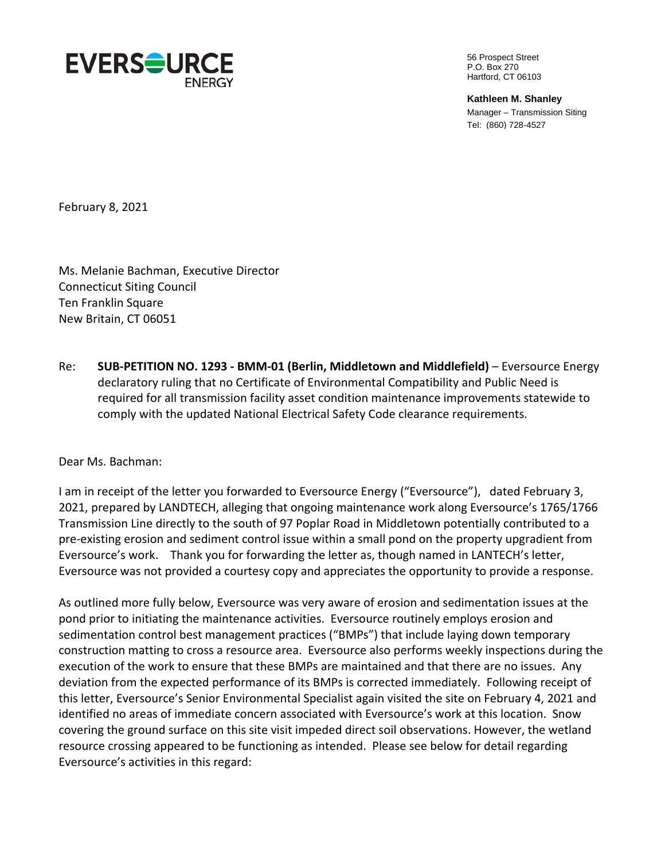

56 Prospect Street P.O. Box 270 Hartford, CT 06103

**Kathleen M. Shanley**  Manager – Transmission Siting Tel: (860) 728-4527

February 8, 2021

Ms. Melanie Bachman, Executive Director Connecticut Siting Council Ten Franklin Square New Britain, CT 06051

Re: **SUB-PETITION NO. 1293 - BMM-01 (Berlin, Middletown and Middlefield)** – Eversource Energy declaratory ruling that no Certificate of Environmental Compatibility and Public Need is required for all transmission facility asset condition maintenance improvements statewide to comply with the updated National Electrical Safety Code clearance requirements.

## Dear Ms. Bachman:

I am in receipt of the letter you forwarded to Eversource Energy ("Eversource"), dated February 3, 2021, prepared by LANDTECH, alleging that ongoing maintenance work along Eversource's 1765/1766 Transmission Line directly to the south of 97 Poplar Road in Middletown potentially contributed to a pre-existing erosion and sediment control issue within a small pond on the property upgradient from Eversource's work. Thank you for forwarding the letter as, though named in LANTECH's letter, Eversource was not provided a courtesy copy and appreciates the opportunity to provide a response.

As outlined more fully below, Eversource was very aware of erosion and sedimentation issues at the pond prior to initiating the maintenance activities. Eversource routinely employs erosion and sedimentation control best management practices ("BMPs") that include laying down temporary construction matting to cross a resource area. Eversource also performs weekly inspections during the execution of the work to ensure that these BMPs are maintained and that there are no issues. Any deviation from the expected performance of its BMPs is corrected immediately. Following receipt of this letter, Eversource's Senior Environmental Specialist again visited the site on February 4, 2021 and identified no areas of immediate concern associated with Eversource's work at this location. Snow covering the ground surface on this site visit impeded direct soil observations. However, the wetland resource crossing appeared to be functioning as intended. Please see below for detail regarding Eversource's activities in this regard: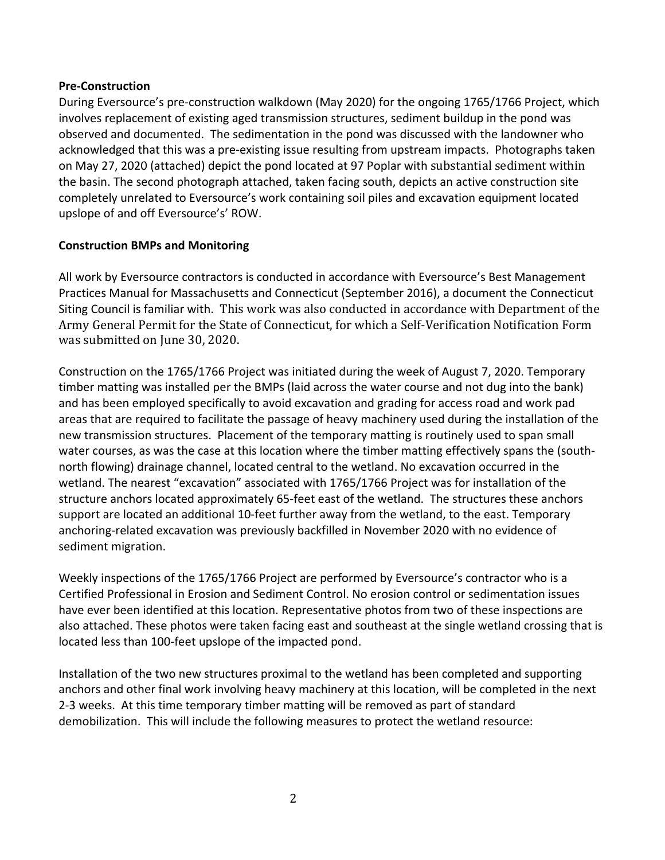## **Pre-Construction**

During Eversource's pre-construction walkdown (May 2020) for the ongoing 1765/1766 Project, which involves replacement of existing aged transmission structures, sediment buildup in the pond was observed and documented. The sedimentation in the pond was discussed with the landowner who acknowledged that this was a pre-existing issue resulting from upstream impacts. Photographs taken on May 27, 2020 (attached) depict the pond located at 97 Poplar with substantial sediment within the basin. The second photograph attached, taken facing south, depicts an active construction site completely unrelated to Eversource's work containing soil piles and excavation equipment located upslope of and off Eversource's' ROW.

## **Construction BMPs and Monitoring**

All work by Eversource contractors is conducted in accordance with Eversource's Best Management Practices Manual for Massachusetts and Connecticut (September 2016), a document the Connecticut Siting Council is familiar with. This work was also conducted in accordance with Department of the Army General Permit for the State of Connecticut, for which a Self-Verification Notification Form was submitted on June 30, 2020.

Construction on the 1765/1766 Project was initiated during the week of August 7, 2020. Temporary timber matting was installed per the BMPs (laid across the water course and not dug into the bank) and has been employed specifically to avoid excavation and grading for access road and work pad areas that are required to facilitate the passage of heavy machinery used during the installation of the new transmission structures. Placement of the temporary matting is routinely used to span small water courses, as was the case at this location where the timber matting effectively spans the (southnorth flowing) drainage channel, located central to the wetland. No excavation occurred in the wetland. The nearest "excavation" associated with 1765/1766 Project was for installation of the structure anchors located approximately 65-feet east of the wetland. The structures these anchors support are located an additional 10-feet further away from the wetland, to the east. Temporary anchoring-related excavation was previously backfilled in November 2020 with no evidence of sediment migration.

Weekly inspections of the 1765/1766 Project are performed by Eversource's contractor who is a Certified Professional in Erosion and Sediment Control. No erosion control or sedimentation issues have ever been identified at this location. Representative photos from two of these inspections are also attached. These photos were taken facing east and southeast at the single wetland crossing that is located less than 100-feet upslope of the impacted pond.

Installation of the two new structures proximal to the wetland has been completed and supporting anchors and other final work involving heavy machinery at this location, will be completed in the next 2-3 weeks. At this time temporary timber matting will be removed as part of standard demobilization. This will include the following measures to protect the wetland resource: